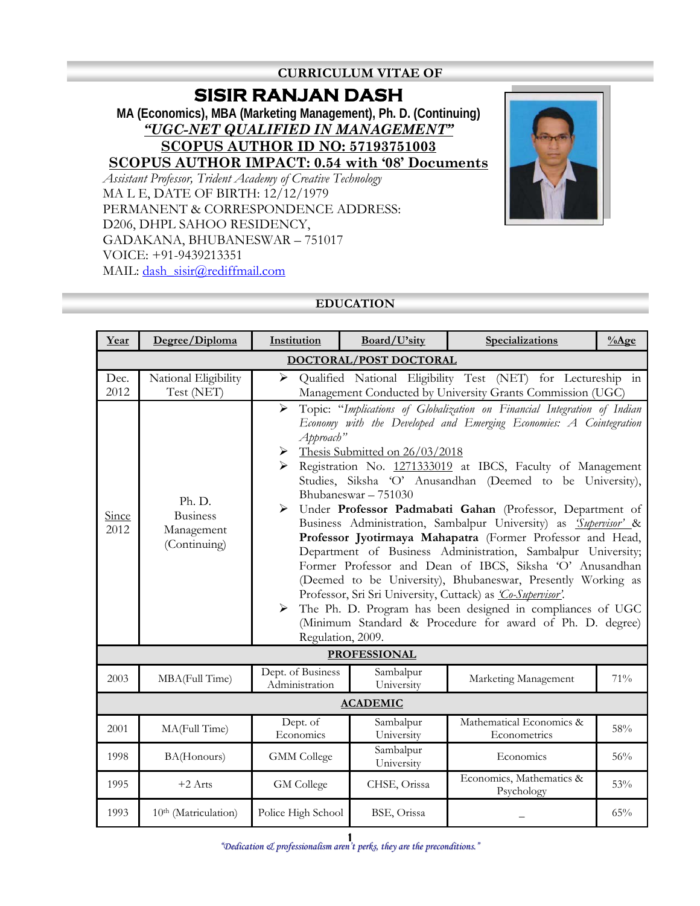## **CURRICULUM VITAE OF**

# **SISIR RANJAN DASH**

**MA (Economics), MBA (Marketing Management), Ph. D. (Continuing)** *"UGC-NET QUALIFIED IN MANAGEMENT"* **SCOPUS AUTHOR ID NO: 57193751003**

**SCOPUS AUTHOR IMPACT: 0.54 with '08' Documents**

*Assistant Professor, Trident Academy of Creative Technology* MA L E, DATE OF BIRTH: 12/12/1979 PERMANENT & CORRESPONDENCE ADDRESS: D206, DHPL SAHOO RESIDENCY, GADAKANA, BHUBANESWAR – 751017 VOICE: +91-9439213351 MAIL: [dash\\_sisir@rediffmail.com](mailto:dash_sisir@rediffmail.com)



#### **EDUCATION**

| Year          | Degree/Diploma                                          | Institution                                                                                                                                                                                                                                                                                                                                                                                                                                                                                                                                                                                                                                                                                                                                                                                                                                                                                                                                                                                                                                                                     | Board/U'sity            | Specializations                                                                                                            | $%$ Age |  |  |
|---------------|---------------------------------------------------------|---------------------------------------------------------------------------------------------------------------------------------------------------------------------------------------------------------------------------------------------------------------------------------------------------------------------------------------------------------------------------------------------------------------------------------------------------------------------------------------------------------------------------------------------------------------------------------------------------------------------------------------------------------------------------------------------------------------------------------------------------------------------------------------------------------------------------------------------------------------------------------------------------------------------------------------------------------------------------------------------------------------------------------------------------------------------------------|-------------------------|----------------------------------------------------------------------------------------------------------------------------|---------|--|--|
|               | DOCTORAL/POST DOCTORAL                                  |                                                                                                                                                                                                                                                                                                                                                                                                                                                                                                                                                                                                                                                                                                                                                                                                                                                                                                                                                                                                                                                                                 |                         |                                                                                                                            |         |  |  |
| Dec.<br>2012  | National Eligibility<br>Test (NET)                      | $\blacktriangleright$                                                                                                                                                                                                                                                                                                                                                                                                                                                                                                                                                                                                                                                                                                                                                                                                                                                                                                                                                                                                                                                           |                         | Qualified National Eligibility Test (NET) for Lectureship in<br>Management Conducted by University Grants Commission (UGC) |         |  |  |
| Since<br>2012 | Ph. D.<br><b>Business</b><br>Management<br>(Continuing) | Topic: "Implications of Globalization on Financial Integration of Indian<br>$\blacktriangleright$<br>Economy with the Developed and Emerging Economies: A Cointegration<br>Approach"<br>Thesis Submitted on 26/03/2018<br>$\blacktriangleright$<br>Registration No. 1271333019 at IBCS, Faculty of Management<br>Studies, Siksha 'O' Anusandhan (Deemed to be University),<br>Bhubaneswar - 751030<br>$\blacktriangleright$<br>Under Professor Padmabati Gahan (Professor, Department of<br>Business Administration, Sambalpur University) as <i>Supervisor' &amp;</i><br>Professor Jyotirmaya Mahapatra (Former Professor and Head,<br>Department of Business Administration, Sambalpur University;<br>Former Professor and Dean of IBCS, Siksha 'O' Anusandhan<br>(Deemed to be University), Bhubaneswar, Presently Working as<br>Professor, Sri Sri University, Cuttack) as <i>Co-Supervisor</i> '.<br>The Ph. D. Program has been designed in compliances of UGC<br>$\blacktriangleright$<br>(Minimum Standard & Procedure for award of Ph. D. degree)<br>Regulation, 2009. |                         |                                                                                                                            |         |  |  |
|               |                                                         |                                                                                                                                                                                                                                                                                                                                                                                                                                                                                                                                                                                                                                                                                                                                                                                                                                                                                                                                                                                                                                                                                 | <b>PROFESSIONAL</b>     |                                                                                                                            |         |  |  |
| 2003          | MBA(Full Time)                                          | Dept. of Business<br>Administration                                                                                                                                                                                                                                                                                                                                                                                                                                                                                                                                                                                                                                                                                                                                                                                                                                                                                                                                                                                                                                             | Sambalpur<br>University | Marketing Management                                                                                                       | 71%     |  |  |
|               |                                                         |                                                                                                                                                                                                                                                                                                                                                                                                                                                                                                                                                                                                                                                                                                                                                                                                                                                                                                                                                                                                                                                                                 | <b>ACADEMIC</b>         |                                                                                                                            |         |  |  |
| 2001          | MA(Full Time)                                           | Dept. of<br>Economics                                                                                                                                                                                                                                                                                                                                                                                                                                                                                                                                                                                                                                                                                                                                                                                                                                                                                                                                                                                                                                                           | Sambalpur<br>University | Mathematical Economics &<br>Econometrics                                                                                   | 58%     |  |  |
| 1998          | BA(Honours)                                             | <b>GMM</b> College                                                                                                                                                                                                                                                                                                                                                                                                                                                                                                                                                                                                                                                                                                                                                                                                                                                                                                                                                                                                                                                              | Sambalpur<br>University | Economics                                                                                                                  | 56%     |  |  |
| 1995          | $+2$ Arts                                               | <b>GM</b> College                                                                                                                                                                                                                                                                                                                                                                                                                                                                                                                                                                                                                                                                                                                                                                                                                                                                                                                                                                                                                                                               | CHSE, Orissa            | Economics, Mathematics &<br>Psychology                                                                                     | 53%     |  |  |
| 1993          | 10 <sup>th</sup> (Matriculation)                        | Police High School                                                                                                                                                                                                                                                                                                                                                                                                                                                                                                                                                                                                                                                                                                                                                                                                                                                                                                                                                                                                                                                              | BSE, Orissa             |                                                                                                                            | 65%     |  |  |

*"Dedication & professionalism aren't perks, they are the preconditions."* <sup>1</sup>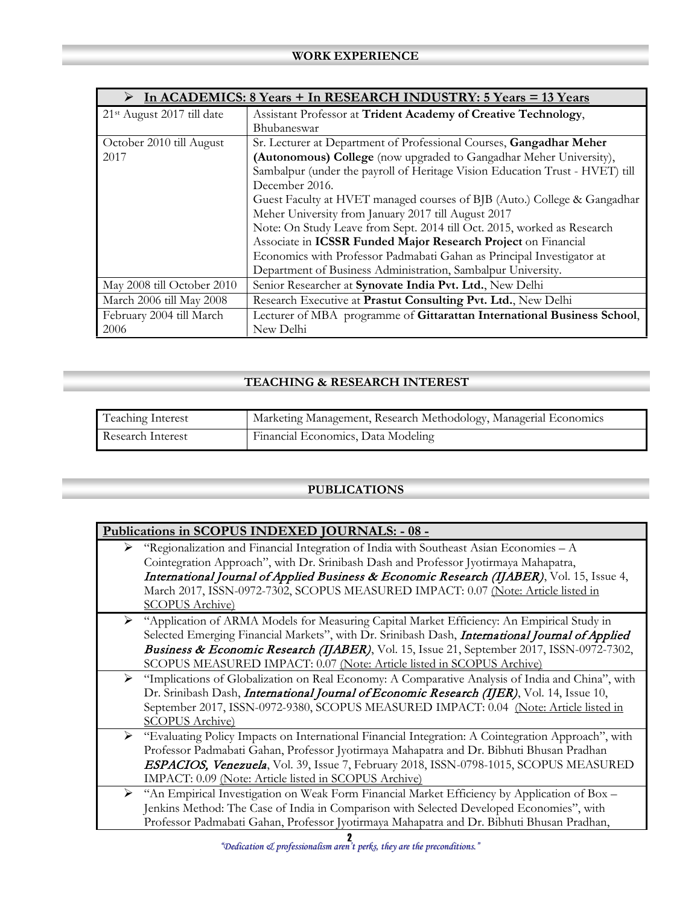| In ACADEMICS: 8 Years + In RESEARCH INDUSTRY: 5 Years = 13 Years |                                                                              |  |  |
|------------------------------------------------------------------|------------------------------------------------------------------------------|--|--|
| 21 <sup>st</sup> August 2017 till date                           | Assistant Professor at Trident Academy of Creative Technology,               |  |  |
|                                                                  | Bhubaneswar                                                                  |  |  |
| October 2010 till August                                         | Sr. Lecturer at Department of Professional Courses, Gangadhar Meher          |  |  |
| 2017                                                             | (Autonomous) College (now upgraded to Gangadhar Meher University),           |  |  |
|                                                                  | Sambalpur (under the payroll of Heritage Vision Education Trust - HVET) till |  |  |
|                                                                  | December 2016.                                                               |  |  |
|                                                                  | Guest Faculty at HVET managed courses of BJB (Auto.) College & Gangadhar     |  |  |
|                                                                  | Meher University from January 2017 till August 2017                          |  |  |
|                                                                  | Note: On Study Leave from Sept. 2014 till Oct. 2015, worked as Research      |  |  |
|                                                                  | Associate in ICSSR Funded Major Research Project on Financial                |  |  |
|                                                                  | Economics with Professor Padmabati Gahan as Principal Investigator at        |  |  |
|                                                                  | Department of Business Administration, Sambalpur University.                 |  |  |
| May 2008 till October 2010                                       | Senior Researcher at Synovate India Pvt. Ltd., New Delhi                     |  |  |
| March 2006 till May 2008                                         | Research Executive at Prastut Consulting Pvt. Ltd., New Delhi                |  |  |
| February 2004 till March                                         | Lecturer of MBA programme of Gittarattan International Business School,      |  |  |
| 2006                                                             | New Delhi                                                                    |  |  |

## **TEACHING & RESEARCH INTEREST**

| Teaching Interest | Marketing Management, Research Methodology, Managerial Economics |
|-------------------|------------------------------------------------------------------|
| Research Interest | Financial Economics, Data Modeling                               |

#### **PUBLICATIONS**

| Publications in SCOPUS INDEXED JOURNALS: - 08 - |                                                                                                                                                                                                                                                                                                                                                                                             |  |
|-------------------------------------------------|---------------------------------------------------------------------------------------------------------------------------------------------------------------------------------------------------------------------------------------------------------------------------------------------------------------------------------------------------------------------------------------------|--|
| ➤                                               | "Regionalization and Financial Integration of India with Southeast Asian Economies - A<br>Cointegration Approach", with Dr. Srinibash Dash and Professor Jyotirmaya Mahapatra,<br>International Journal of Applied Business & Economic Research (IJABER), Vol. 15, Issue 4,<br>March 2017, ISSN-0972-7302, SCOPUS MEASURED IMPACT: 0.07 (Note: Article listed in<br><b>SCOPUS Archive</b> ) |  |
| ➤                                               | "Application of ARMA Models for Measuring Capital Market Efficiency: An Empirical Study in<br>Selected Emerging Financial Markets", with Dr. Srinibash Dash, International Journal of Applied<br>Business & Economic Research (IJABER), Vol. 15, Issue 21, September 2017, ISSN-0972-7302,<br>SCOPUS MEASURED IMPACT: 0.07 (Note: Article listed in SCOPUS Archive)                         |  |
| ➤                                               | "Implications of Globalization on Real Economy: A Comparative Analysis of India and China", with<br>Dr. Srinibash Dash, <i>International Journal of Economic Research (IJER)</i> , Vol. 14, Issue 10,<br>September 2017, ISSN-0972-9380, SCOPUS MEASURED IMPACT: 0.04 (Note: Article listed in<br><b>SCOPUS Archive)</b>                                                                    |  |
| ➤                                               | "Evaluating Policy Impacts on International Financial Integration: A Cointegration Approach", with<br>Professor Padmabati Gahan, Professor Jyotirmaya Mahapatra and Dr. Bibhuti Bhusan Pradhan<br><b>ESPACIOS, Venezuela</b> , Vol. 39, Issue 7, February 2018, ISSN-0798-1015, SCOPUS MEASURED<br>IMPACT: 0.09 (Note: Article listed in SCOPUS Archive)                                    |  |
| ➤                                               | "An Empirical Investigation on Weak Form Financial Market Efficiency by Application of Box -<br>Jenkins Method: The Case of India in Comparison with Selected Developed Economies", with<br>Professor Padmabati Gahan, Professor Jyotirmaya Mahapatra and Dr. Bibhuti Bhusan Pradhan,                                                                                                       |  |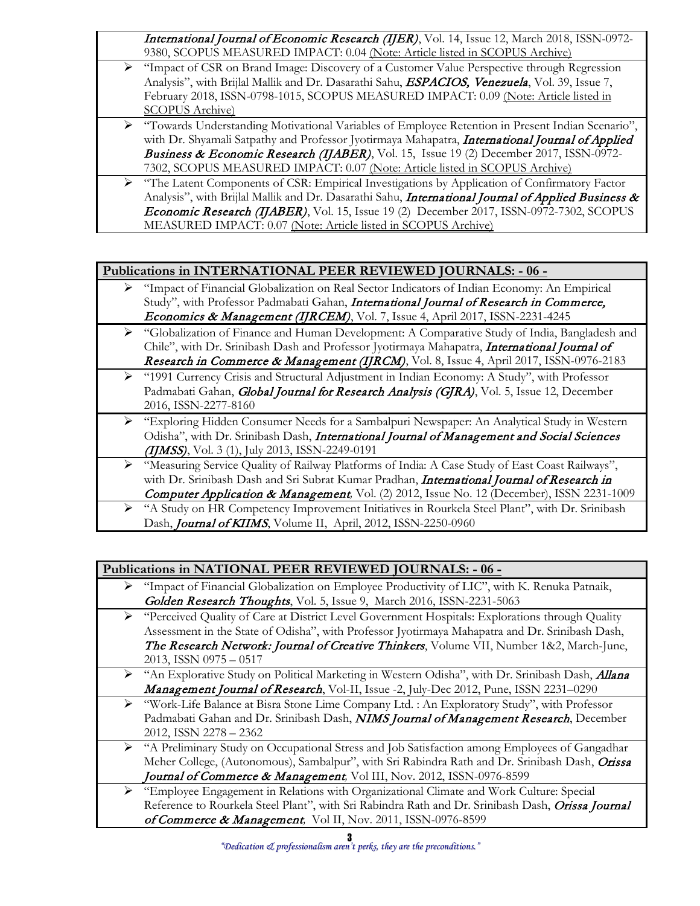International Journal of Economic Research (IJER), Vol. 14, Issue 12, March 2018, ISSN-0972-9380, SCOPUS MEASURED IMPACT: 0.04 (Note: Article listed in SCOPUS Archive)

- "Impact of CSR on Brand Image: Discovery of a Customer Value Perspective through Regression Analysis", with Brijlal Mallik and Dr. Dasarathi Sahu, **ESPACIOS, Venezuela**, Vol. 39, Issue 7, February 2018, ISSN-0798-1015, SCOPUS MEASURED IMPACT: 0.09 (Note: Article listed in SCOPUS Archive)
- "Towards Understanding Motivational Variables of Employee Retention in Present Indian Scenario", with Dr. Shyamali Satpathy and Professor Jyotirmaya Mahapatra, *International Journal of Applied Business & Economic Research (IJABER)*, Vol. 15, Issue 19 (2) December 2017, ISSN-0972-7302, SCOPUS MEASURED IMPACT: 0.07 (Note: Article listed in SCOPUS Archive)
- "The Latent Components of CSR: Empirical Investigations by Application of Confirmatory Factor Analysis", with Brijlal Mallik and Dr. Dasarathi Sahu, *International Journal of Applied Business &* Economic Research (IJABER), Vol. 15, Issue 19 (2) December 2017, ISSN-0972-7302, SCOPUS MEASURED IMPACT: 0.07 (Note: Article listed in SCOPUS Archive)

#### **Publications in INTERNATIONAL PEER REVIEWED JOURNALS: - 06 -**

- "Impact of Financial Globalization on Real Sector Indicators of Indian Economy: An Empirical Study", with Professor Padmabati Gahan, International Journal of Research in Commerce, *Economics & Management (IJRCEM)*, Vol. 7, Issue 4, April 2017, ISSN-2231-4245
- ▶ "Globalization of Finance and Human Development: A Comparative Study of India, Bangladesh and Chile", with Dr. Srinibash Dash and Professor Jyotirmaya Mahapatra, *International Journal of* Research in Commerce & Management (IJRCM), Vol. 8, Issue 4, April 2017, ISSN-0976-2183
- "1991 Currency Crisis and Structural Adjustment in Indian Economy: A Study", with Professor Padmabati Gahan, Global Journal for Research Analysis (GJRA), Vol. 5, Issue 12, December 2016, ISSN-2277-8160
	- "Exploring Hidden Consumer Needs for a Sambalpuri Newspaper: An Analytical Study in Western Odisha", with Dr. Srinibash Dash, *International Journal of Management and Social Sciences* (IJMSS), Vol. 3 (1), July 2013, ISSN-2249-0191
- "Measuring Service Quality of Railway Platforms of India: A Case Study of East Coast Railways", with Dr. Srinibash Dash and Sri Subrat Kumar Pradhan, *International Journal of Research in* Computer Application & Management*,* Vol. (2) 2012, Issue No. 12 (December), ISSN 2231-1009
	- "A Study on HR Competency Improvement Initiatives in Rourkela Steel Plant", with Dr. Srinibash Dash, *Journal of KIIMS*, Volume II, April, 2012, ISSN-2250-0960

|   | Publications in NATIONAL PEER REVIEWED JOURNALS: - 06 -                                           |
|---|---------------------------------------------------------------------------------------------------|
| ➤ | "Impact of Financial Globalization on Employee Productivity of LIC", with K. Renuka Patnaik,      |
|   | Golden Research Thoughts, Vol. 5, Issue 9, March 2016, ISSN-2231-5063                             |
|   | ► "Perceived Quality of Care at District Level Government Hospitals: Explorations through Quality |
|   | Assessment in the State of Odisha", with Professor Jyotirmaya Mahapatra and Dr. Srinibash Dash,   |
|   | The Research Network: Journal of Creative Thinkers, Volume VII, Number 1&2, March-June,           |
|   | 2013, ISSN 0975 - 0517                                                                            |
| ➤ | "An Explorative Study on Political Marketing in Western Odisha", with Dr. Srinibash Dash, Allana  |
|   | <b>Management Journal of Research</b> , Vol-II, Issue -2, July-Dec 2012, Pune, ISSN 2231-0290     |
| ➤ | "Work-Life Balance at Bisra Stone Lime Company Ltd. : An Exploratory Study", with Professor       |
|   | Padmabati Gahan and Dr. Srinibash Dash, NIMS Journal of Management Research, December             |
|   | 2012, ISSN 2278 - 2362                                                                            |
| ➤ | "A Preliminary Study on Occupational Stress and Job Satisfaction among Employees of Gangadhar     |
|   | Meher College, (Autonomous), Sambalpur", with Sri Rabindra Rath and Dr. Srinibash Dash, Orissa    |
|   | Journal of Commerce & Management, Vol III, Nov. 2012, ISSN-0976-8599                              |
| ⋗ | "Employee Engagement in Relations with Organizational Climate and Work Culture: Special           |
|   | Reference to Rourkela Steel Plant", with Sri Rabindra Rath and Dr. Srinibash Dash, Orissa Journal |
|   | of Commerce & Management, Vol II, Nov. 2011, ISSN-0976-8599                                       |